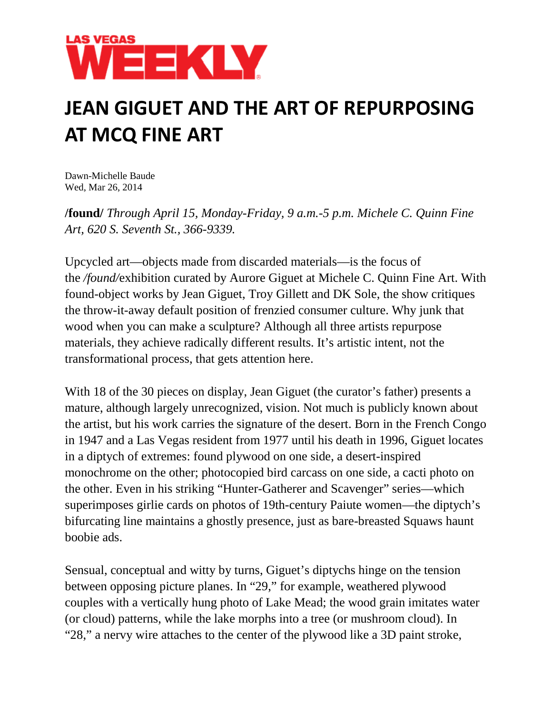

## **JEAN GIGUET AND THE ART OF REPURPOSING AT MCQ FINE ART**

Dawn-Michelle Baude Wed, Mar 26, 2014

**/found/** *Through April 15, Monday-Friday, 9 a.m.-5 p.m. Michele C. Quinn Fine Art, 620 S. Seventh St., 366-9339.*

Upcycled art—objects made from discarded materials—is the focus of the */found/*exhibition curated by Aurore Giguet at Michele C. Quinn Fine Art. With found-object works by Jean Giguet, Troy Gillett and DK Sole, the show critiques the throw-it-away default position of frenzied consumer culture. Why junk that wood when you can make a sculpture? Although all three artists repurpose materials, they achieve radically different results. It's artistic intent, not the transformational process, that gets attention here.

With 18 of the 30 pieces on display, Jean Giguet (the curator's father) presents a mature, although largely unrecognized, vision. Not much is publicly known about the artist, but his work carries the signature of the desert. Born in the French Congo in 1947 and a Las Vegas resident from 1977 until his death in 1996, Giguet locates in a diptych of extremes: found plywood on one side, a desert-inspired monochrome on the other; photocopied bird carcass on one side, a cacti photo on the other. Even in his striking "Hunter-Gatherer and Scavenger" series—which superimposes girlie cards on photos of 19th-century Paiute women—the diptych's bifurcating line maintains a ghostly presence, just as bare-breasted Squaws haunt boobie ads.

Sensual, conceptual and witty by turns, Giguet's diptychs hinge on the tension between opposing picture planes. In "29," for example, weathered plywood couples with a vertically hung photo of Lake Mead; the wood grain imitates water (or cloud) patterns, while the lake morphs into a tree (or mushroom cloud). In "28," a nervy wire attaches to the center of the plywood like a 3D paint stroke,